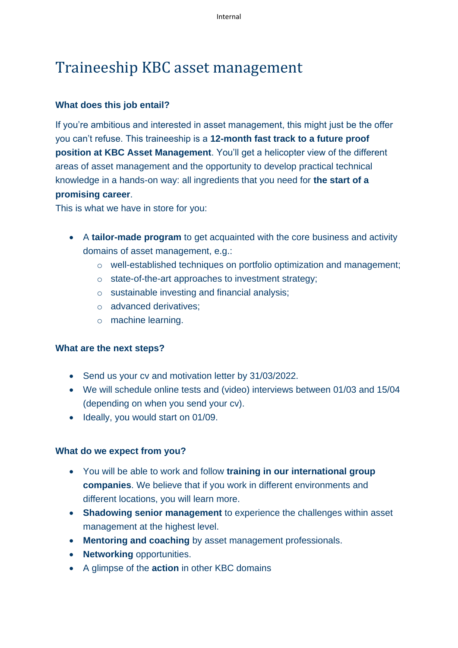# Traineeship KBC asset management

## **What does this job entail?**

If you're ambitious and interested in asset management, this might just be the offer you can't refuse. This traineeship is a **12-month fast track to a future proof position at KBC Asset Management**. You'll get a helicopter view of the different areas of asset management and the opportunity to develop practical technical knowledge in a hands-on way: all ingredients that you need for **the start of a promising career**.

This is what we have in store for you:

- A **tailor-made program** to get acquainted with the core business and activity domains of asset management, e.g.:
	- o well-established techniques on portfolio optimization and management;
	- o state-of-the-art approaches to investment strategy;
	- o sustainable investing and financial analysis;
	- o advanced derivatives;
	- o machine learning.

## **What are the next steps?**

- Send us your cv and motivation letter by 31/03/2022.
- We will schedule online tests and (video) interviews between 01/03 and 15/04 (depending on when you send your cv).
- Ideally, you would start on 01/09.

## **What do we expect from you?**

- You will be able to work and follow **training in our international group companies**. We believe that if you work in different environments and different locations, you will learn more.
- **Shadowing senior management** to experience the challenges within asset management at the highest level.
- **Mentoring and coaching** by asset management professionals.
- **Networking** opportunities.
- A glimpse of the **action** in other KBC domains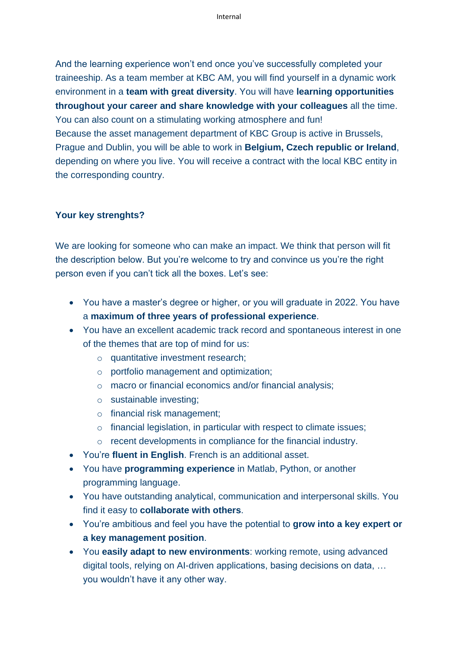And the learning experience won't end once you've successfully completed your traineeship. As a team member at KBC AM, you will find yourself in a dynamic work environment in a **team with great diversity**. You will have **learning opportunities throughout your career and share knowledge with your colleagues** all the time. You can also count on a stimulating working atmosphere and fun!

Because the asset management department of KBC Group is active in Brussels, Prague and Dublin, you will be able to work in **Belgium, Czech republic or Ireland**, depending on where you live. You will receive a contract with the local KBC entity in the corresponding country.

#### **Your key strenghts?**

We are looking for someone who can make an impact. We think that person will fit the description below. But you're welcome to try and convince us you're the right person even if you can't tick all the boxes. Let's see:

- You have a master's degree or higher, or you will graduate in 2022. You have a **maximum of three years of professional experience**.
- You have an excellent academic track record and spontaneous interest in one of the themes that are top of mind for us:
	- o quantitative investment research;
	- o portfolio management and optimization;
	- o macro or financial economics and/or financial analysis;
	- o sustainable investing;
	- o financial risk management;
	- o financial legislation, in particular with respect to climate issues;
	- o recent developments in compliance for the financial industry.
- You're **fluent in English**. French is an additional asset.
- You have **programming experience** in Matlab, Python, or another programming language.
- You have outstanding analytical, communication and interpersonal skills. You find it easy to **collaborate with others**.
- You're ambitious and feel you have the potential to **grow into a key expert or a key management position**.
- You **easily adapt to new environments**: working remote, using advanced digital tools, relying on AI-driven applications, basing decisions on data, … you wouldn't have it any other way.